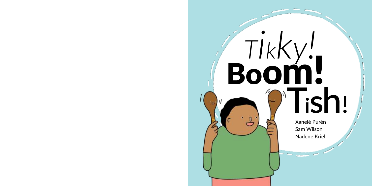Xanelé Purén Sam Wilson **Nadene Kriel** 

lish!

TİKKY!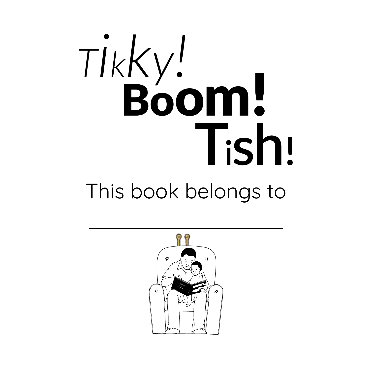

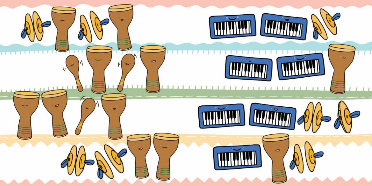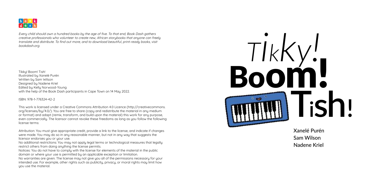

Every child should own a hundred books by the age of five. To that end, Book Dash gathers creative professionals who volunteer to create new, African storybooks that anyone can freely translate and distribute. To find out more, and to download beautiful, print-ready books, visit [bookdash.org](http://bookdash.org).

> Xanelé Purén Sam Wilson Nadene Kriel

Tikky! Boom! Tish! Illustrated by Xanelé Purén Written by Sam Wilson Designed by Nadene Kriel Edited by Kelly Norwood-Young with the help of the Book Dash participants in Cape Town on 14 May 2022.

ISBN: 978-1-776324-42-2

This work is licensed under a Creative Commons Attribution 4.0 Licence (http://creativecommons. org/licenses/by/4.0/). You are free to share (copy and redistribute the material in any medium or format) and adapt (remix, transform, and build upon the material) this work for any purpose, even commercially. The licensor cannot revoke these freedoms as long as you follow the following license terms:

Attribution: You must give appropriate credit, provide a link to the license, and indicate if changes were made. You may do so in any reasonable manner, but not in any way that suggests the licensor endorses you or your use.

No additional restrictions: You may not apply legal terms or technological measures that legally restrict others from doing anything the license permits.

Notices: You do not have to comply with the license for elements of the material in the public domain or where your use is permitted by an applicable exception or limitation.

No warranties are given. The license may not give you all of the permissions necessary for your intended use. For example, other rights such as publicity, privacy, or moral rights may limit how you use the material.

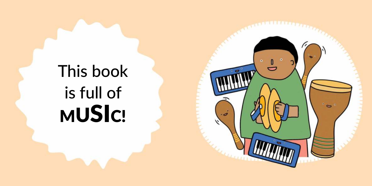This book is full of MUSIC!

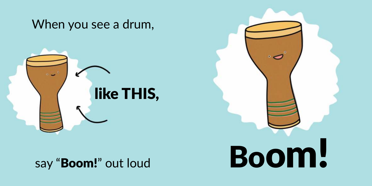## When you see a drum,



say "Boom!" out loud

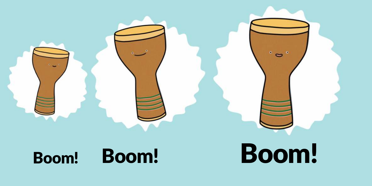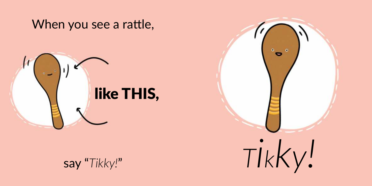## When you see a rattle,





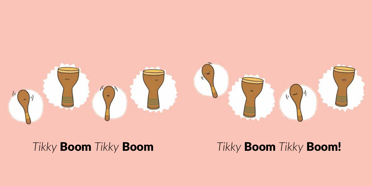

### *Tikky* Boom *Tikky* Boom *Tikky* Boom *Tikky* Boom!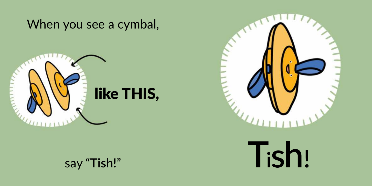# When you see a cymbal,





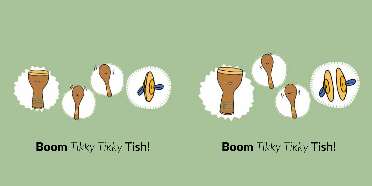

### Boom *Tikky Tikky* **Tish!** Boom *Tikky Tikky* **Tish!**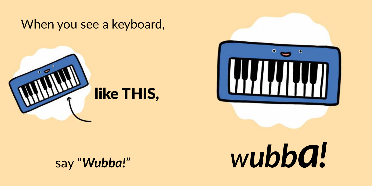# When you see a keyboard,





say "Wubba!"

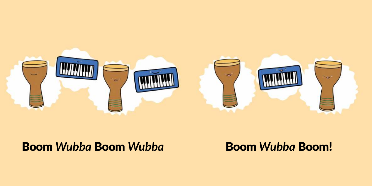

### Boom *Wubba* Boom *Wubba* Boom *Wubba* Boom!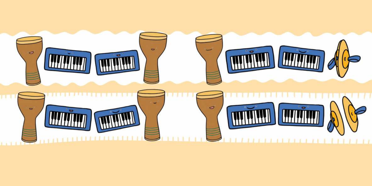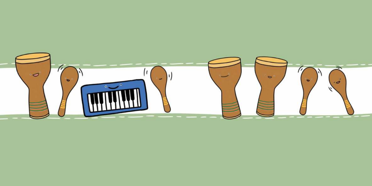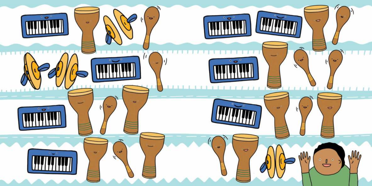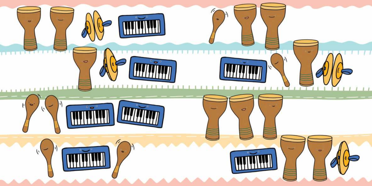